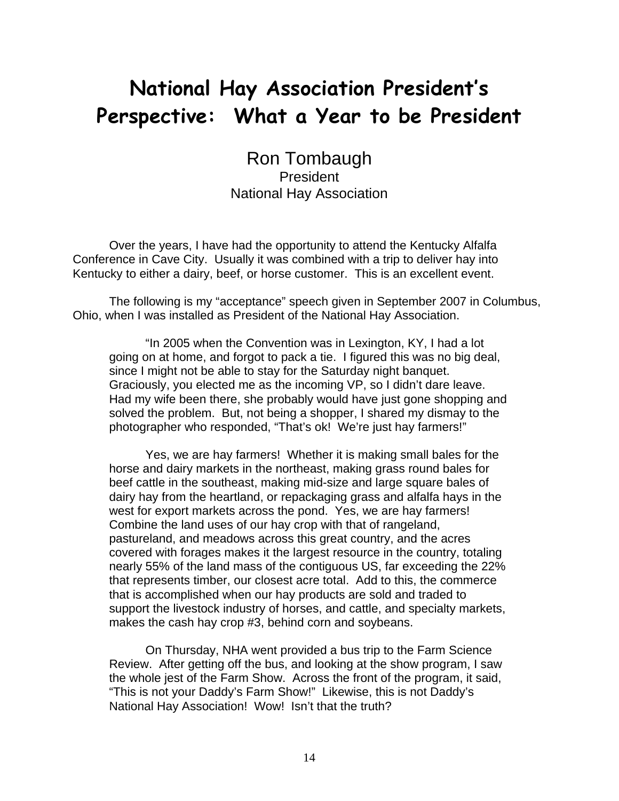## **National Hay Association President's Perspective: What a Year to be President**

Ron Tombaugh President National Hay Association

 Over the years, I have had the opportunity to attend the Kentucky Alfalfa Conference in Cave City. Usually it was combined with a trip to deliver hay into Kentucky to either a dairy, beef, or horse customer. This is an excellent event.

 The following is my "acceptance" speech given in September 2007 in Columbus, Ohio, when I was installed as President of the National Hay Association.

"In 2005 when the Convention was in Lexington, KY, I had a lot going on at home, and forgot to pack a tie. I figured this was no big deal, since I might not be able to stay for the Saturday night banquet. Graciously, you elected me as the incoming VP, so I didn't dare leave. Had my wife been there, she probably would have just gone shopping and solved the problem. But, not being a shopper, I shared my dismay to the photographer who responded, "That's ok! We're just hay farmers!"

Yes, we are hay farmers! Whether it is making small bales for the horse and dairy markets in the northeast, making grass round bales for beef cattle in the southeast, making mid-size and large square bales of dairy hay from the heartland, or repackaging grass and alfalfa hays in the west for export markets across the pond. Yes, we are hay farmers! Combine the land uses of our hay crop with that of rangeland, pastureland, and meadows across this great country, and the acres covered with forages makes it the largest resource in the country, totaling nearly 55% of the land mass of the contiguous US, far exceeding the 22% that represents timber, our closest acre total. Add to this, the commerce that is accomplished when our hay products are sold and traded to support the livestock industry of horses, and cattle, and specialty markets, makes the cash hay crop #3, behind corn and soybeans.

On Thursday, NHA went provided a bus trip to the Farm Science Review. After getting off the bus, and looking at the show program, I saw the whole jest of the Farm Show. Across the front of the program, it said, "This is not your Daddy's Farm Show!" Likewise, this is not Daddy's National Hay Association! Wow! Isn't that the truth?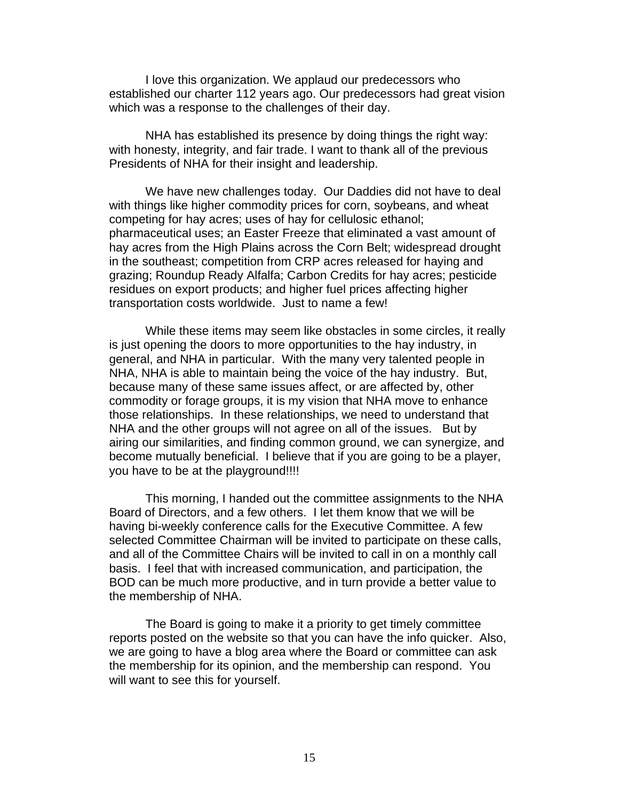I love this organization. We applaud our predecessors who established our charter 112 years ago. Our predecessors had great vision which was a response to the challenges of their day.

NHA has established its presence by doing things the right way: with honesty, integrity, and fair trade. I want to thank all of the previous Presidents of NHA for their insight and leadership.

We have new challenges today. Our Daddies did not have to deal with things like higher commodity prices for corn, soybeans, and wheat competing for hay acres; uses of hay for cellulosic ethanol; pharmaceutical uses; an Easter Freeze that eliminated a vast amount of hay acres from the High Plains across the Corn Belt; widespread drought in the southeast; competition from CRP acres released for haying and grazing; Roundup Ready Alfalfa; Carbon Credits for hay acres; pesticide residues on export products; and higher fuel prices affecting higher transportation costs worldwide. Just to name a few!

While these items may seem like obstacles in some circles, it really is just opening the doors to more opportunities to the hay industry, in general, and NHA in particular. With the many very talented people in NHA, NHA is able to maintain being the voice of the hay industry. But, because many of these same issues affect, or are affected by, other commodity or forage groups, it is my vision that NHA move to enhance those relationships. In these relationships, we need to understand that NHA and the other groups will not agree on all of the issues. But by airing our similarities, and finding common ground, we can synergize, and become mutually beneficial. I believe that if you are going to be a player, you have to be at the playground!!!!

This morning, I handed out the committee assignments to the NHA Board of Directors, and a few others. I let them know that we will be having bi-weekly conference calls for the Executive Committee. A few selected Committee Chairman will be invited to participate on these calls, and all of the Committee Chairs will be invited to call in on a monthly call basis. I feel that with increased communication, and participation, the BOD can be much more productive, and in turn provide a better value to the membership of NHA.

The Board is going to make it a priority to get timely committee reports posted on the website so that you can have the info quicker. Also, we are going to have a blog area where the Board or committee can ask the membership for its opinion, and the membership can respond. You will want to see this for yourself.